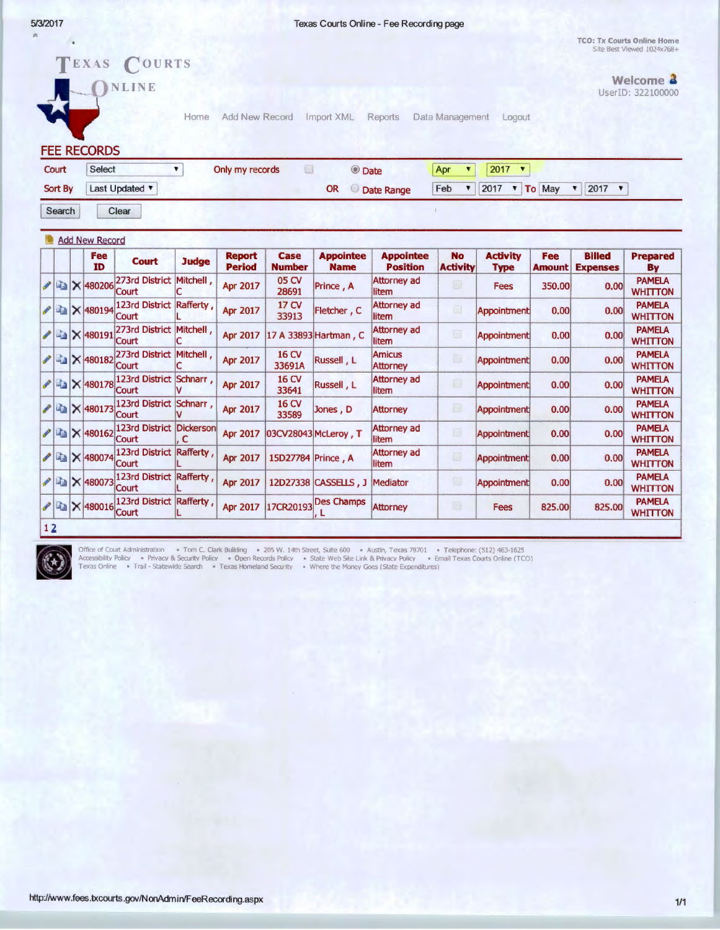$\overline{\phantom{a}}$ 

 $\mathcal{D}$ 

TCO: Tx Courts Online Home Site Best Viewed 1024x768+

|         |        |  | <b>FEE RECORDS</b>                                                                                                                    | EXAS COURTS<br><b>NLINE</b>       | Home           | Add New Record                 |                              | Import XML                      | Reports                             | Data Management              | Logout                          |                      |                                  | Welcome <b>4</b><br>UserID: 322100000 |
|---------|--------|--|---------------------------------------------------------------------------------------------------------------------------------------|-----------------------------------|----------------|--------------------------------|------------------------------|---------------------------------|-------------------------------------|------------------------------|---------------------------------|----------------------|----------------------------------|---------------------------------------|
|         | Court  |  | Select                                                                                                                                |                                   | ۷.             | Only my records                | Ω                            | © Date                          |                                     | ۷<br>Apr                     | 2017<br>$\overline{\mathbf{v}}$ |                      |                                  |                                       |
| Sort By |        |  | Last Updated<br>Feb<br>2017<br>To May<br>2017<br><b>OR</b><br>▼<br>$\mathbf{v}$<br>$\blacktriangledown$<br>$\sqrt{ }$<br>C Date Range |                                   |                |                                |                              |                                 |                                     |                              |                                 |                      |                                  |                                       |
|         | Search |  |                                                                                                                                       | Clear                             |                |                                |                              |                                 |                                     |                              |                                 |                      |                                  |                                       |
|         |        |  | Add New Record                                                                                                                        |                                   |                |                                |                              |                                 |                                     |                              |                                 |                      |                                  |                                       |
|         |        |  | Fee<br><b>ID</b>                                                                                                                      | <b>Court</b>                      | <b>Judge</b>   | <b>Report</b><br><b>Period</b> | <b>Case</b><br><b>Number</b> | <b>Appointee</b><br><b>Name</b> | <b>Appointee</b><br><b>Position</b> | <b>No</b><br><b>Activity</b> | <b>Activity</b><br><b>Type</b>  | Fee<br><b>Amount</b> | <b>Billed</b><br><b>Expenses</b> | <b>Prepared</b><br>By                 |
| Í       |        |  | <b>B</b> × 480206                                                                                                                     | 273rd District<br>Court           | Mitchell,      | Apr 2017                       | 05 CV<br>28691               | Prince, A                       | Attorney ad<br>litem                | $\Box$                       | Fees                            | 350.00               | 0.00                             | <b>PAMELA</b><br><b>WHITTON</b>       |
| ∕       |        |  | <b>AX 480194</b>                                                                                                                      | 123rd District Rafferty,<br>Court |                | <b>Apr 2017</b>                | 17 CV<br>33913               | Fletcher, C                     | <b>Attorney ad</b><br>litem         | o                            | Appointment                     | 0.00                 | 0.00                             | <b>PAMELA</b><br><b>WHITTON</b>       |
| ◢       |        |  | ■ × 480191                                                                                                                            | 273rd District Mitchell,<br>Court |                | <b>Apr 2017</b>                |                              | 17 A 33893 Hartman, C           | Attorney ad<br>litem                | ▣                            | Appointment                     | 0.00                 | 0.00                             | <b>PAMELA</b><br><b>WHITTON</b>       |
| I       |        |  | ■ × 480182                                                                                                                            | 273rd District Mitchell,<br>Court | C              | <b>Apr 2017</b>                | 16 CV<br>33691A              | Russell, L                      | <b>Amicus</b><br><b>Attorney</b>    | IJ                           | <b>Appointment</b>              | 0.00                 | 0.00                             | <b>PAMELA</b><br><b>WHITTON</b>       |
| ℐ       |        |  | ■ × 480178                                                                                                                            | 123rd District Schnarr,<br>Court  |                | <b>Apr 2017</b>                | 16 CV<br>33641               | Russell, L                      | <b>Attorney ad</b><br>litem         | ▣                            | <b>Appointment</b>              | 0.00                 | 0.00                             | <b>PAMELA</b><br><b>WHITTON</b>       |
| ₽       |        |  | <b>AX 480173</b>                                                                                                                      | 123rd District Schnarr,<br>Court  |                | Apr 2017                       | 16 CV<br>33589               | Jones, D                        | <b>Attorney</b>                     | B                            | Appointment                     | 0.00                 | 0.00                             | <b>PAMELA</b><br><b>WHITTON</b>       |
| P       |        |  | BX 480162                                                                                                                             | 123rd District<br>Court           | Dickerson<br>C | <b>Apr 2017</b>                |                              | 03CV28043 McLeroy, T            | <b>Attorney ad</b><br>litem         | 凬                            | <b>Appointment</b>              | 0.00                 | 0.00                             | <b>PAMELA</b><br><b>WHITTON</b>       |
| ୵       |        |  | <b>480074</b>                                                                                                                         | 123rd District Rafferty,<br>Court |                | Apr 2017                       | 15D27784 Prince, A           |                                 | Attorney ad<br>litem                | 画                            | Appointment                     | 0.00                 | 0.00                             | <b>PAMELA</b><br><b>WHITTON</b>       |
| P       |        |  | <b>■×480073</b>                                                                                                                       | 123rd District Rafferty<br>Court  |                | <b>Apr 2017</b>                |                              | 12D27338 CASSELLS, J            | Mediator                            | $\Box$                       | <b>Appointment</b>              | 0.00                 | 0.00                             | <b>PAMELA</b><br><b>WHITTON</b>       |
|         |        |  | $2$ 480016                                                                                                                            | 123rd District Rafferty<br>Court  |                | <b>Apr 2017</b>                | 17CR20193                    | <b>Des Champs</b><br>. L        | <b>Attorney</b>                     | в                            | <b>Fees</b>                     | 825.00               | 825.00                           | <b>PAMELA</b><br><b>WHITTON</b>       |
| 12      |        |  |                                                                                                                                       |                                   |                |                                |                              |                                 |                                     |                              |                                 |                      |                                  |                                       |



Office of Court Administration • Tom C. Clark Building • 205 W. 14th Street, Suite 600 • Austin, Texas 78701 • Telephone: (512) 463-1625<br>Accessibility Policy • Privacy & Security Policy • Open Records Policy

http://www.fees.txcourts.gov/NonAdmin/FeeRecording.aspx